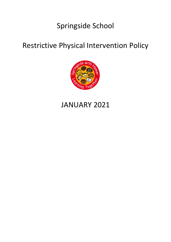# Springside School

# Restrictive Physical Intervention Policy



# JANUARY 2021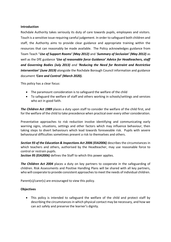## **Introduction**

Rochdale Authority takes seriously its duty of care towards pupils, employees and visitors. Touch is a sensitive issue requiring careful judgement. In order to safeguard both children and staff, the Authority aims to provide clear guidance and appropriate training within the resources that can reasonably be made available. The Policy acknowledges guidance from Team Teach "*Use of Support Rooms' (May 2012)* and '*Summary of Seclusion' (May 2012)* as well as the DfE guidance *'Use of reasonable force Guidance' Advice for Headteachers, staff and Governing Bodies (July 2013) and 'Reducing the Need for Restraint and Restrictive Intervention' (June 2019)* alongside the Rochdale Borough Council information and guidance document *'Care and Control' (March 2020).*

This policy has a clear focus:

- The paramount consideration is to safeguard the welfare of the child
- To safeguard the welfare of staff and others working in schools/settings and services who act in good faith.

*The Children Act 1989* places a duty upon staff to consider the welfare of the child first, and for the welfare of the child to take precedence when practical over every other consideration.

Preventative approaches to risk reduction involve identifying and communicating early warning signs, situations, settings and other factors which may influence behaviour, then taking steps to divert behaviours which lead towards foreseeable risk. Pupils with severe behavioural difficulties sometimes present a risk to themselves and others.

*Section 93 of the Education & Inspections Act 2006 (EIA2006)* describes the circumstances in which teachers and others, authorised by the Headteacher, may use reasonable force to control or restrain pupils.

*Section 95 (EIA2006)* defines the Staff to which this power applies.

*The Children Act 2004* places a duty on key partners to cooperate in the safeguarding of children. Risk Assessments and Positive Handling Plans will be shared with all key partners, who will cooperate to provide consistent approaches to meet the needs of individual children.

Parent(s)/carer(s) are encouraged to view this policy.

### **Objectives**

• This policy is intended to safeguard the welfare of the child and protect staff by describing the circumstances in which physical contact may be necessary, and how we can act safely and preserve the learner's dignity.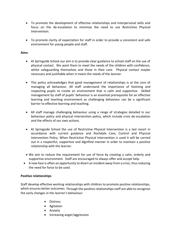- To promote the development of effective relationships and interpersonal skills and focus on the de-escalation to minimize the need to use Restrictive Physical Intervention.
- To promote clarity of expectation for staff in order to provide a consistent and safe environment for young people and staff.

## **Aims**

- At Springside School our aim is to provide clear guidance to school staff on the use of physical contact. We want them to meet the needs of the children with confidence, whilst safeguarding themselves and those in their care. Physical contact maybe necessary and justifiable when it meets the needs of the learner.
- This policy acknowledges that good management of relationships is at the core of managing all behaviour. All staff understand the importance of listening and respecting pupils to create an environment that is calm and supportive. Skilled management by staff of pupils' behaviour is an essential prerequisite for an effective learning and teaching environment as challenging behaviour can be a significant barrier to effective learning and teaching.
- All staff manage challenging behaviour using a range of strategies detailed in our behaviour policy and physical intervention policy, which include crisis de-escalation and the effects of our own actions.
- At Springside School the use of Restrictive Physical Intervention is a last resort in accordance with current guidance and Rochdale Care, Control and Physical Intervention Policy. When Restrictive Physical Intervention is used it will be carried out in a respectful, supportive and dignified manner in order to maintain a positive relationship with the learner.
- We aim to reduce the requirement for use of force by creating a calm, orderly and supportive environment. Staff are encouraged to always offer and accept help.
- A new face is often an opportunity to divert an incident away from a crisis, thus reducing the need for force to be used.

### **Positive relationships**

Staff develop effective working relationships with children to promote positive relationships, which ensures better outcomes. Through the positive relationships staff are able to recognise the early changes in the learner's behaviour:

- Distress
- Agitation
- Anxiety
- Increasing anger/aggression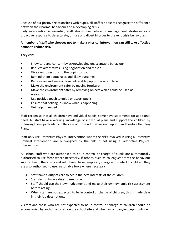Because of our positive relationships with pupils, all staff are able to recognise the difference between their normal behaviour and a developing crisis.

Early intervention is essential; staff should use behaviour management strategies as a proactive response to de-escalate, diffuse and divert in order to prevent crisis behaviours.

# **A member of staff who chooses not to make a physical intervention can still take effective action to reduce risk.**

They can:

- Show care and concern by acknowledging unacceptable behaviour
- Request alternatives using negotiation and reason
- Give clear directions to the pupils to stop
- Remind them about rules and likely outcomes
- Remove an audience or take vulnerable pupils to a safer place
- Make the environment safer by moving furniture
- Make the environment safer by removing objects which could be used as weapons
- Use positive touch to guide or escort pupils
- Ensure that colleagues know what is happening
- Get help if needed

Staff recognise that all children have individual needs, some have statements for additional need. All staff have a working knowledge of individual plans and support the children by following them, particularly in the case of those with Behaviour Support and Positive Handling Plans.

Staff only use Restrictive Physical Intervention where the risks involved in using a Restrictive Physical Intervention are outweighed by the risk in not using a Restrictive Physical Intervention.

All school staff who are authorised to be in control or charge of pupils are automatically authorised to use force where necessary. If others, such as colleagues from the behaviour support team, therapists and volunteers, have temporary charge and control of children, they are also authorised to use reasonable force where necessary.

- Staff have a duty of care to act in the best interests of the children.
- Staff do not have a duty to use force.
- Staff should use their own judgement and make their own dynamic risk assessment before acting.
- When staff are not expected to be in control or charge of children, this is made clear in their job descriptions.

Visitors and those who are not expected to be in control or charge of children should be accompanied by authorised staff on the school site and when accompanying pupils outside.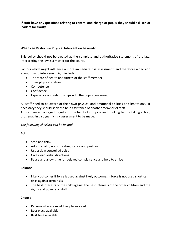**If staff have any questions relating to control and charge of pupils they should ask senior leaders for clarity**.

# **When can Restrictive Physical Intervention be used?**

This policy should not be treated as the complete and authoritative statement of the law, interpreting the law is a matter for the courts.

Factors which might influence a more immediate risk assessment, and therefore a decision about how to intervene, might include:

- The state of health and fitness of the staff member
- Their physical stature
- Competence
- Confidence
- Experience and relationships with the pupils concerned

All staff need to be aware of their own physical and emotional abilities and limitations. If necessary they should seek the help assistance of another member of staff.

All staff are encouraged to get into the habit of stopping and thinking before taking action, thus enabling a dynamic risk assessment to be made.

# *The following checklist can be helpful.*

# **Act**

- Stop and think
- Adopt a calm, non-threating stance and posture
- Use a slow controlled voice
- Give clear verbal directions
- Pause and allow time for delayed complaisance and help to arrive

### **Balance**

- Likely outcomes if force is used against likely outcomes if force is not used short-term risks against term risks
- The best interests of the child against the best interests of the other children and the rights and powers of staff

### **Choose**

- Persons who are most likely to succeed
- Best place available
- Best time available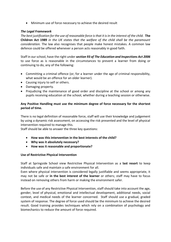• Minimum use of force necessary to achieve the desired result

## *The Legal Framework*

*The best justification for the use of reasonable force is that it is in the interest of the child.* **The Children Act 1989** *in the UK states that the welfare of the child shall be the paramount consideration.* The law also recognises that people make honest mistakes. A common law defence could be offered whenever a person acts reasonably in good faith.

Staff in our school, have the right under *section 93 of The Education and Inspections Act 2006* to use force as is reasonable in the circumstances to prevent a learner from doing or continuing to do, any of the following:

- Committing a criminal offence (or, for a learner under the age of criminal responsibility, what would be an offence for an older learner).
- Causing injury to self or others.
- Damaging property.
- Prejudicing the maintenance of good order and discipline at the school or among any pupils receiving education at the school, whether during a teaching session or otherwise.

# **Any Positive Handling must use the minimum degree of force necessary for the shortest period of time.**

There is no legal definition of reasonable force, staff will use their knowledge and judgement by using a dynamic risk assessment, on accessing the risk presented and the level of physical intervention required to manage this.

Staff should be able to answer the three key questions:

- **How was this intervention in the best interests of the child?**
- **Why was it absolutely necessary?**
- **How was it reasonable and proportionate?**

### **Use of Restrictive Physical Intervention**

Staff at Springside School view Restrictive Physical Intervention as a **last resort** to keep individuals safe and maintain a safe environment for all.

Even where physical intervention is considered legally justifiable and seems appropriate, it may not be safe or **in the best interest of the learner** or others; staff may have to focus instead on removing others from harm or making the environment safer.

Before the use of any Restrictive Physical Intervention, staff should take into account the age, gender, level of physical, emotional and intellectual development, additional needs, social context, and medical needs of the learner concerned. Staff should use a gradual, graded system of response. The degree of force used should be the minimum to achieve the desired result. Good training provides techniques which rely on a combination of psychology and biomechanics to reduce the amount of force required.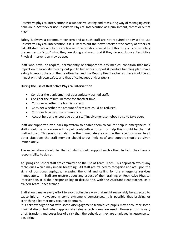Restrictive physical intervention is a supportive, caring and reassuring way of managing crisis behaviour. Staff never use Restrictive Physical Intervention as a punishment, threat or out of anger.

Safety is always a paramount concern and as such staff are not required or advised to use Restrictive Physical Intervention if it is likely to put their own safety or the safety of others at risk. All staff have a duty of care towards the pupils and must fulfil this duty of care by telling the learner to "**stop**" what they are doing and warn that if they do not do so a Restrictive Physical Intervention may be used.

Staff who have, or acquire, permanently or temporarily, any medical condition that may impact on their ability to carry out pupils' behaviour support & positive handling plans have a duty to report these to the Headteacher and the Deputy Headteacher as there could be an impact on their own safety and that of colleagues and/or pupils.

## **During the use of Restrictive Physical Intervention**

- Consider the deployment of appropriately trained staff.
- Consider the minimum force for shortest time.
- Consider whether the hold is correct.
- Consider whether the amount of pressure could be reduced.
- Consider how best to communicate.
- Accept help and encourage other staff involvement somebody else to take over.

Staff are supported by a back-up system to enable them to call for help in emergencies. If staff should be in a room with a pull cord/button to call for help this should be the first method used. This sounds an alarm in the immediate area and in the reception area. In all other situations the staff member should shout 'help now' and support should be given immediately.

The expectation should be that all staff should support each other. In fact, they have a responsibility to do so.

At Springside School staff are committed to the use of Team Teach. This approach avoids any techniques which may impair breathing. All staff are trained to recognise and act upon the signs of positional asphyxia, releasing the child and calling for the emergency services immediately. If Staff are unsure about any aspect of their training or Restrictive Physical Intervention, it is their responsibility to discuss this with the Assistant Headteacher, as a trained Team Teach trainer.

Staff should make every effort to avoid acting in a way that might reasonably be expected to cause injury. However, in some extreme circumstances, it is possible that bruising or scratching a learner may occur accidentally.

It is acknowledged that with some disengagement techniques pupils may encounter some minimal discomfort when appropriate release techniques are used. However, this is very brief, transient and poses less of a risk than the behaviour they are employed in response to, e.g. biting.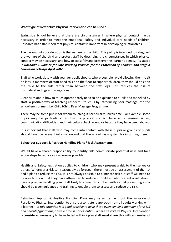## **What type of Restrictive Physical Intervention can be used?**

Springside School believe that there are circumstances in where physical contact maybe necessary in order to meet the emotional, safety and individual care needs of children. Research has established that physical contact is important in developing relationships.

The paramount consideration is the welfare of the child. This policy is intended to safeguard the welfare of the child and protect staff by describing the circumstances in which physical contact may be necessary, and how to act safely and preserve the learner's dignity. As stated in *Rochdale Guidance for Safe Working Practice for the Protection of Children and Staff in Education Settings April 2007*.

Staff who work closely with younger pupils should, where possible, avoid allowing them to sit on laps. If members of staff need to sit on the floor to support children, they should position the child to the side rather than between the staff legs. This reduces the risk of misunderstandings and allegations.

Clear rules about how to touch appropriately need to be explained to pupils and modelled by staff. A positive way of teaching respectful touch is by introducing peer massage into the school environment i.e. Child2Child Peer Massage Programme.

There may be some pupils for whom touching is particularly unwelcome. For example, some pupils may be particularly sensitive to physical contact because of sensory issues, communication difficulties, and their cultural background or because they have been abused.

It is important that staff who may come into contact with these pupils or groups of pupils should have the relevant information and that the school has a system for informing them.

### **Behaviour Support & Positive Handling Plans / Risk Assessments**

We all have a shared responsibility to identify risk, communicate potential risks and take active steps to reduce risk wherever possible.

Health and Safety legislation applies to children who may present a risk to themselves or others. Wherever a risk can reasonably be foreseen there must be an assessment of the risk and a plan to reduce the risk. It is not always possible to eliminate risk but staff will need to be able to show that they have attempted to reduce it. Children who present a risk should have a positive handling plan. Staff likely to come into contact with a child presenting a risk should be given guidance and training to enable them to assess and reduce the risk.

Behaviour Support & Positive Handling Plans may be written **without** the inclusion of Restrictive Physical Intervention to ensure a consistent approach from all adults working with a learner – *in this situation it is good practise to have these overseen by a member of the SLT and parents/ guardians, however this is not essential*. Where Restrictive Physical Intervention **is considered necessary** to be included within a plan staff **must share this with a member of**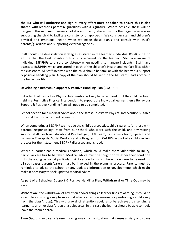**the SLT who will authorise and sign it, every effort must be taken to ensure this is also shared with learner's parents/ guardians with a signature.** Where possible, these will be designed through multi agency collaboration and, shared with other agencies/services supporting the child to facilitate consistency of approach. We consider staff and children's physical and emotional health when we make these plan's and consult with child's parents/guardians and supporting external agencies.

Staff should use de-escalation strategies as stated in the learner's individual BS&BS&PHP to ensure that the best possible outcome is achieved for the learner. Staff are aware of individual BS&PHPs to ensure consistency when needing to manage incidents. Staff have access to BS&PHPs which are stored in each of the children's Health and welfare files within the classroom. All staff involved with the child should be familiar with the behaviour support & positive handling plan. A copy of the plan should be kept in the Assistant Head's office in the behaviour file.

# **Developing a Behaviour Support & Positive Handling Plan (BS&PHP)**

If it is felt that Restrictive Physical Intervention is likely to be required (or if the child has been held in a Restrictive Physical Intervention) to support the individual learner then a Behaviour Support & Positive Handling Plan will need to be completed.

School need to take medical advice about the safest Restrictive Physical Intervention suitable for a child with specific medical needs.

When completing a BS&PHP we include the child's perspective, child's parents (or those with parental responsibility), staff from our school who work with the child, and any visiting support staff (such as Educational Psychologist, SEN Team, Fair access team, Speech and Language Therapists, Social Workers and colleagues from CAMHS) as part of a child's review process for their statement BS&PHP discussed and agreed.

Where a learner has a medical condition, which could make them vulnerable to injury, particular care has to be taken. Medical advice must be sought on whether their condition puts the young person at particular risk if certain forms of intervention were to be used. In all such cases parents/carers must be involved in the planning process. Parents must be reminded to advise the school on any updated information or developments which might make it necessary to seek updated medical advice.

As part of a Behaviour Support & Positive Handling Plan, **Withdrawal** or **Time Out** may be used.

**Withdrawal**: the withdrawal of attention and/or things a learner finds rewarding (it could be as simple as turning away from a child who is attention seeking, or positioning a child away from the class/group). This withdrawal of attention could also be achieved by sending a learner to another class/group or a quiet area - in this case the learner should be able to freely leave the room or area.

**Time Out**: this involves a learner moving away from a situation that causes anxiety or distress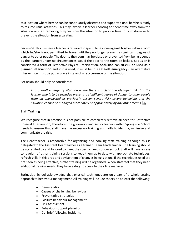to a location where he/she can be continuously observed and supported until he/she is ready to resume usual activities. This may involve a learner choosing to spend time away from the situation or staff removing him/her from the situation to provide time to calm down or to prevent the situation from escalating.

**Seclusion**: this is where a learner is required to spend time alone against his/her will in a room which he/she is not permitted to leave until they no longer present a significant degree of danger to other people. The door to the room may be closed or prevented from being opened by the learner: under no circumstances would the door to the room be locked. Seclusion is considered a form of Restrictive Physical Intervention. **Seclusion** can **NEVER be used as a planned intervention** and if it is used, it must be in a **One-off emergency** - an alternative intervention must be put in place in case of a reoccurrence of the situation.

Seclusion should only be considered:

*in a one-off emergency situation where there is a clear and identified risk that the learner who is to be secluded presents a significant degree of danger to other people from an unexpected or previously unseen severe risk/ severe behaviour and the situation cannot be managed more safely or appropriately by any other means.*

# **Staff Training**

We recognise that in practice it is not possible to completely remove all need for Restrictive Physical Intervention; therefore, the governors and senior leaders within Springside School needs to ensure that staff have the necessary training and skills to identify, minimise and communicate the risk.

The Headteacher is responsible for organising and booking staff training although this is delegated to the Assistant Headteacher as a trained Team Teach trainer. The training should be accredited by and tailored to meet the specific needs of our school. Staff will have access to regular refresher training sessions to keep them up to date with appropriate techniques, refresh skills in this area and advise them of changes in legislation. If the techniques used are not seen as being effective, further training will be organised. When staff feel that they need additional training needs, they have a duty to speak to their line manager.

Springside School acknowledge that physical techniques are only part of a whole setting approach to behaviour management. All training will include theory on at least the following:

- De-escalation
- Causes of challenging behaviour
- Preventative strategies
- Positive behaviour management
- Risk Assessment
- Behaviour support planning
- De- brief following incidents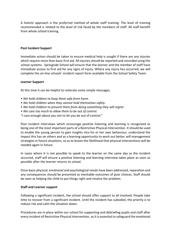A holistic approach is the preferred method of whole staff training. The level of training recommended is related to the level of risk faced by the members of staff. All staff benefit from whole school training.

## **Post Incident Support**

Immediate action should be taken to ensure medical help is sought if there are any injuries which require more than basic first aid. All injuries should be reported and recorded using the school systems. Springside School will ensure that the learner and the member of staff have immediate access to first aid for any signs of injury. Where any injury has occurred, we will complete the on-line schools' incident report form available from the School Safety Team.

### **Learner Support**

At this time it can be helpful to reiterate some simple messages.

- *We hold children to keep them safe from harm.*
- *We hold children when they cannot hold themselves safely.*
- *We hold children to prevent them from doing something they will regret.*
- *We care too much to allow them to be out of control.*
- "I care enough about you not to let you be out of control."

Post incident interviews which encourage positive listening and learning is recognised as being one of the most important parts of a Restrictive Physical Intervention. It should be used to enable the young person to gain insights into his or her own behaviour, understand the impact this has on others and as a learning opportunity to work out better self-management strategies in future situations, so as to lessen the likelihood that physical interventions will be needed again in future.

In cases where it is not possible to speak to the learner on the same day as the incident occurred, staff will ensure a positive listening and learning interview takes place as soon as possible after the learner returns to school.

Once basic physical, emotional and psychological needs have been addressed, reparation and any consequences should be presented as inevitable outcomes of poor choices. Staff should be seen as helping the child to put things right and resolve the problem.

### **Staff and Learner support**

Following a significant incident, the school should offer support to all involved. People take time to recover from a significant incident. Until the incident has subsided, the priority is to reduce risk and calm the situation down.

Procedures are in place within our school for supporting and debriefing pupils and staff after every incident of Restrictive Physical Intervention, as it is essential to safeguard the emotional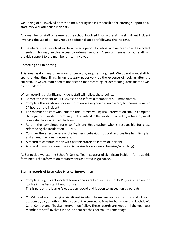well-being of all involved at these times. Springside is responsible for offering support to all staff involved, after such incidents.

Any member of staff or learner at the school involved in or witnessing a significant incident involving the use of RPI may require additional support following the incident.

All members of staff involved will be allowed a period to debrief and recover from the incident if needed. This may involve access to external support. A senior member of our staff will provide support to the member of staff involved.

## **Recording and Reporting**

This area, as do many other areas of our work, requires judgment. We do not want staff to spend undue time filling in unnecessary paperwork at the expense of looking after the children. However, staff need to understand that recording incidents safeguards them as well as the children.

When recording a significant incident staff will follow these points;

- Record the incident on CPOMS asap and inform a member of SLT immediately.
- Complete the significant incident form once everyone has recovered, but normally within 24 hours of the incident.
- The member of staff who initiated the Restrictive Physical Intervention should complete the significant incident form. Any staff involved in the incident, including witnesses, must complete their section of the form.
- Return the completed form to Assistant Headteacher who is responsible for cross referencing the incident on CPOMS.
- Consider the effectiveness of the learner's behaviour support and positive handling plan and amend the plan if necessary.
- A record of communication with parents/carers to inform of incident
- A record of medical examination (checking for accidental bruising/scratching)

At Springside we use the School's Service Team structured significant incident form, as this form meets the information requirements as stated in guidance.

### **Storing records of Restrictive Physical Intervention**

- Completed significant incident forms copies are kept in the school's Physical intervention log file in the Assistant Head's office. This is part of the learner's education record and is open to inspection by parents.
- CPOMS and accompanying significant incident forms are archived at the end of each academic year, together with a copy of the current policies for behaviour and Rochdale's Care, Control and Physical Intervention Policy. These records are kept until the youngest member of staff involved in the incident reaches normal retirement age.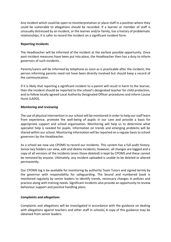Any incident which could be open to misinterpretation or place staff in a position where they could be vulnerable to allegations should be recorded. If a learner or member of staff is unusually distressed by an incident, or the learner and/or family, has a history of problematic relationships, it is safer to record the incident on a significant incident form.

## **Reporting Incidents**

The Headteacher will be informed of the incident at the earliest possible opportunity. Once post-incident measures have been put into place, the Headteacher then has a duty to inform governors of such incidents.

Parents/carers will be informed by telephone as soon as is practicable after the incident; the person informing parents need not have been directly involved but should keep a record of the communication.

If it is likely that reporting a significant incident to a parent will result in harm to the learner, then the incident should be reported to the school's designated teacher for child protection, and to follow locally agreed Local Authority Designated Officer procedures and inform Louise Hurst (LADO).

## *Monitoring and reviewing*

The use of physical intervention in our school will be monitored in order to help our staff learn from experience, promote the well-being of pupils in our care and provide a basis for appropriate support and school organisation. Monitoring will help us to determine what specialist help is needed for pupils. Information on trends and emerging problems will be shared within our school. Monitoring information will be reported on a regular basis to school governors by the Headteacher.

As a school we now use CPOMS to record our incidents. This system has a full audit history. Senior key holders can view, edit and delete incidents; however, all changes are logged and a copy of all versions of the incidents (even those deleted) is kept by CPOMS and these cannot be removed by anyone. Ultimately, any incident uploaded is unable to be deleted or altered permanently.

Our CPOMS log is be available for monitoring by authority Team Tutors and signed termly by the governor with responsibility for safeguarding. The bound and numbered book is monitored regularly by senior leaders to identify trends, necessary changes in policies and practice along with training needs. Significant incidents also provide an opportunity to review behaviour support and positive handling plans.

# *Complaints and allegations*

Complaints and allegations will be investigated in accordance with the guidance on dealing with allegations against teachers and other staff in schools. A copy of this guidance may be obtained from senior leaders.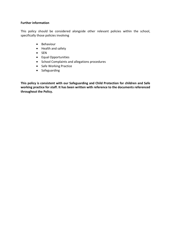## **Further information**

This policy should be considered alongside other relevant policies within the school, specifically those policies involving

- Behaviour
- Health and safety
- SEN
- Equal Opportunities
- School Complaints and allegations procedures
- Safe Working Practice
- Safeguarding

**This policy is consistent with our Safeguarding and Child Protection for children and Safe working practice for staff. It has been written with reference to the documents referenced throughout the Policy.**